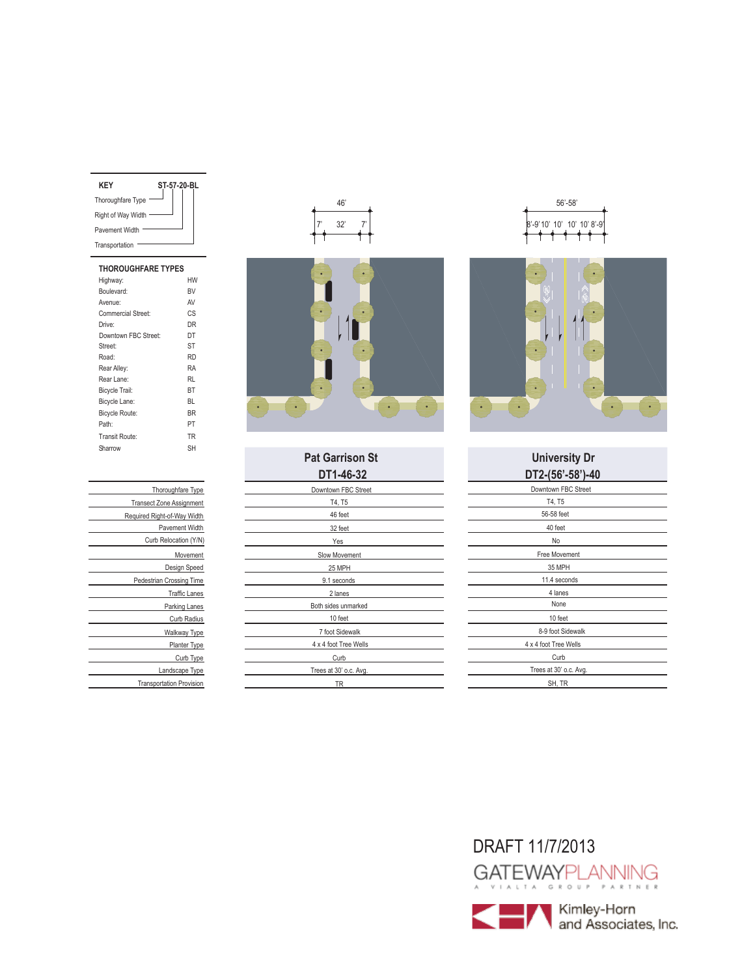|  | ST-57-20-BL |
|--|-------------|

| <b>THOROUGHFARE TYPES</b> |           |
|---------------------------|-----------|
| Highway:                  | HW        |
| Boulevard:                | <b>BV</b> |
| Avenue:                   | AV        |
| <b>Commercial Street:</b> | CS        |
| Drive:                    | DR        |
| Downtown FBC Street:      | DT        |
| Street:                   | ST        |
| Road:                     | <b>RD</b> |
| Rear Alley:               | RA        |
| Rear Lane:                | RI        |
| Bicycle Trail:            | BT        |
| Bicycle Lane:             | BL        |
| <b>Bicycle Route:</b>     | <b>BR</b> |
| Path:                     | PT        |
| Transit Route:            | TR        |
| Sharrow                   | SН        |
|                           |           |

| Thoroughfare Type               |
|---------------------------------|
| <b>Transect Zone Assignment</b> |
| Required Right-of-Way Width     |
| Pavement Width                  |
| Curb Relocation (Y/N)           |
| Movement                        |
| Design Speed                    |
| Pedestrian Crossing Time        |
| <b>Traffic Lanes</b>            |
| Parking Lanes                   |
| Curb Radius                     |
| Walkway Type                    |
| <b>Planter Type</b>             |
| Curb Type                       |
| Landscape Type                  |
| <b>Transportation Provision</b> |





| DT1-46-32              | DT2-(56'-58           |
|------------------------|-----------------------|
| Downtown FBC Street    | Downtown FBC St       |
| T4, T5                 | T4, T5                |
| 46 feet                | 56-58 feet            |
| 32 feet                | 40 feet               |
| Yes                    | No                    |
| Slow Movement          | Free Movement         |
| 25 MPH                 | 35 MPH                |
| 9.1 seconds            | 11.4 seconds          |
| 2 lanes                | 4 lanes               |
| Both sides unmarked    | None                  |
| 10 feet                | 10 feet               |
| 7 foot Sidewalk        | 8-9 foot Sidewa       |
| 4 x 4 foot Tree Wells  | 4 x 4 foot Tree Wells |
| Curb                   | Curb                  |
| Trees at 30' o.c. Avg. | Trees at 30' o.c. A   |
| <b>TR</b>              | SH, TR                |





## **Pat Garrison St University Dr DT2-(56'-58')-40**

| 90 -30 ו-4U ו-4U       |
|------------------------|
| Downtown FBC Street    |
| T4, T5                 |
| 56-58 feet             |
| 40 feet                |
| No                     |
| Free Movement          |
| 35 MPH                 |
| 11.4 seconds           |
| 4 lanes                |
| None                   |
| 10 feet                |
| 8-9 foot Sidewalk      |
| 4 x 4 foot Tree Wells  |
| Curb                   |
| Trees at 30' o.c. Avg. |
| SH, TR                 |
|                        |

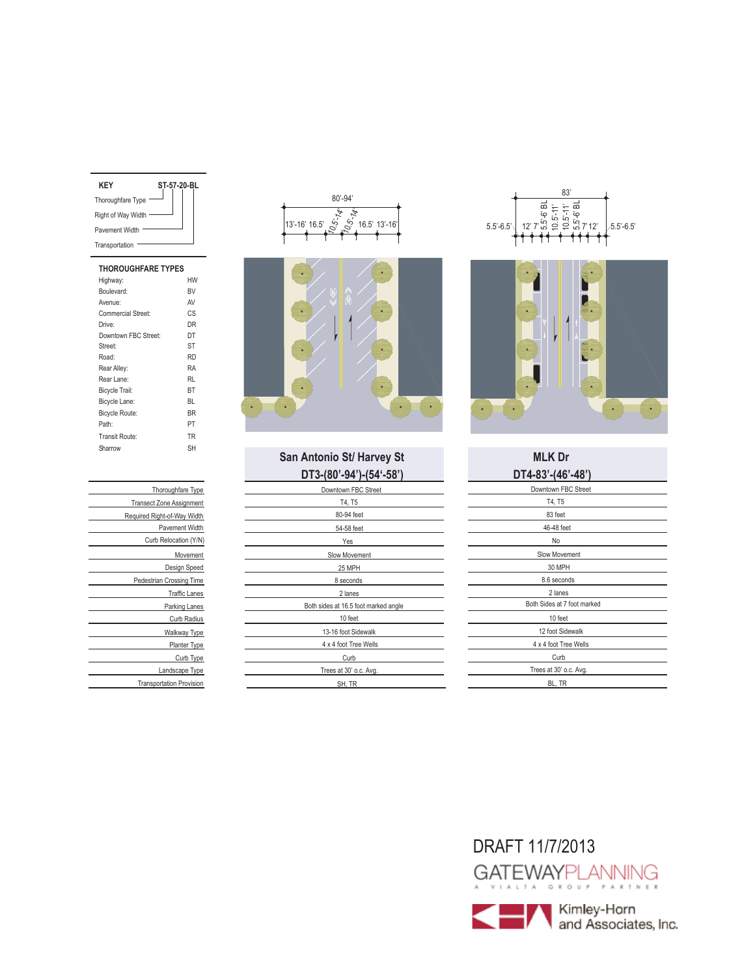| KFY                | ST-57-20-BL |  |  |
|--------------------|-------------|--|--|
| Thoroughfare Type  |             |  |  |
| Right of Way Width |             |  |  |
| Pavement Width     |             |  |  |
| Transportation     |             |  |  |
|                    |             |  |  |

### **THOROUGHFARE TYPES** Highway: HW Boulevard: BV Avenue: AV<br>Commercial Street: CS Commercial Street: Drive: DR Street: ST Downtown FBC Street: DT Road: RD Rear Alley: RA<br>Rear Lane: RL Rear Lane: Bicycle Trail: BT Bicycle Lane: BL Bicycle Route: BR Path: PT Transit Route: TR Sharrow SH

| Thoroughfare Type               |
|---------------------------------|
| <b>Transect Zone Assignment</b> |
| Required Right-of-Way Width     |
| Pavement Width                  |
| Curb Relocation (Y/N)           |
| Movement                        |
| Design Speed                    |
| <b>Pedestrian Crossing Time</b> |
| <b>Traffic Lanes</b>            |
| Parking Lanes                   |
| Curb Radius                     |
| Walkway Type                    |
| Planter Type                    |
| Curb Type                       |
| Landscape Type                  |
| <b>Transportation Provision</b> |





## **DT3-(80'-94')-(54'-58') DT4-83'-(46'-48') San Antonio St/ Harvey St MLK Dr**

| ן טטי <del>ד</del> יטן דיכי טטן־טו ש | "ט די ט דין ש           |
|--------------------------------------|-------------------------|
| Downtown FBC Street                  | Downtown FBC Stree      |
| T4, T5                               | T4, T5                  |
| 80-94 feet                           | 83 feet                 |
| 54-58 feet                           | 46-48 feet              |
| Yes                                  | No                      |
| Slow Movement                        | Slow Movement           |
| 25 MPH                               | 30 MPH                  |
| 8 seconds                            | 8.6 seconds             |
| 2 lanes                              | 2 lanes                 |
| Both sides at 16.5 foot marked angle | Both Sides at 7 foot ma |
| 10 feet                              | 10 feet                 |
| 13-16 foot Sidewalk                  | 12 foot Sidewalk        |
| 4 x 4 foot Tree Wells                | 4 x 4 foot Tree Wells   |
| Curb                                 | Curb                    |
| Trees at 30' o.c. Avg.               | Trees at 30' o.c. Avg.  |
| SH.TR                                | BL, TR                  |





| Downtown FBC Street         |
|-----------------------------|
| T4, T5                      |
| 83 feet                     |
| 46-48 feet                  |
| No                          |
| Slow Movement               |
| 30 MPH                      |
| 8.6 seconds                 |
|                             |
| 2 lanes                     |
| Both Sides at 7 foot marked |
| 10 feet                     |
| 12 foot Sidewalk            |
| 4 x 4 foot Tree Wells       |
| Curb                        |
| Trees at 30' o.c. Avg.      |
| BL, TR                      |

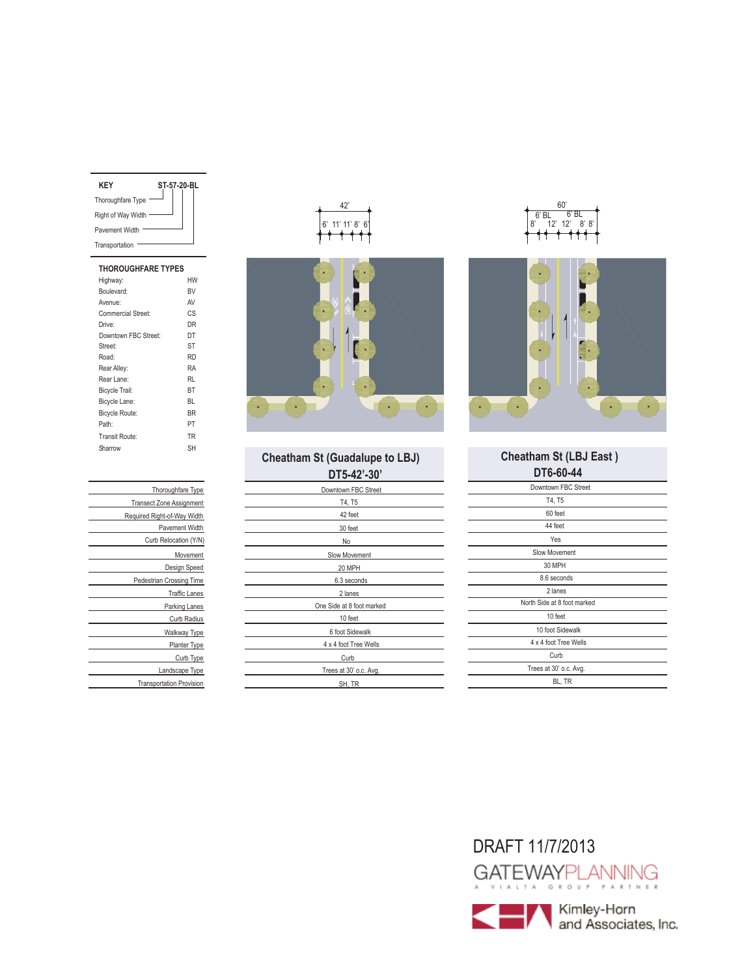| ST-57-20-BL |
|-------------|
|             |
|             |
|             |
|             |
|             |

| <b>THOROUGHFARE TYPES</b> |           |
|---------------------------|-----------|
| Highway:                  | HW        |
| Boulevard:                | <b>RV</b> |
| Avenue:                   | AV        |
| Commercial Street:        | СS        |
| Drive:                    | DR        |
| Downtown FBC Street:      | DT        |
| Street:                   | ST        |
| Road:                     | <b>RD</b> |
| Rear Alley:               | RA        |
| Rear Lane:                | RI        |
| <b>Bicycle Trail:</b>     | BT        |
| Bicycle Lane:             | BL        |
| <b>Bicycle Route:</b>     | <b>BR</b> |
| Path <sup>-</sup>         | PT        |
| Transit Route:            | TR        |
| Sharrow                   | SH        |
|                           |           |

| Thoroughfare Type               |
|---------------------------------|
| <b>Transect Zone Assignment</b> |
| Required Right-of-Way Width     |
| Pavement Width                  |
| Curb Relocation (Y/N)           |
| Movement                        |
| Design Speed                    |
| <b>Pedestrian Crossing Time</b> |
| <b>Traffic Lanes</b>            |
| Parking Lanes                   |
| Curb Radius                     |
| Walkway Type                    |
| Planter Type                    |
| Curb Type                       |
| Landscape Type                  |
| <b>Transportation Provision</b> |





| DT5-42'-30'               |
|---------------------------|
| Downtown FBC Street       |
| T4, T5                    |
| 42 feet                   |
| 30 feet                   |
| No                        |
| Slow Movement             |
| 20 MPH                    |
| 6.3 seconds               |
| 2 lanes                   |
| One Side at 8 foot marked |
| 10 feet                   |
| 6 foot Sidewalk           |
| 4 x 4 foot Tree Wells     |
| Curb                      |
| Trees at 30' o.c. Avg.    |
| SH. TR                    |





# **Cheatham St (LBJ East )**

| DT6-60-44                   |
|-----------------------------|
| Downtown FBC Street         |
| T4, T5                      |
| 60 feet                     |
| 44 feet                     |
| Yes                         |
| <b>Slow Movement</b>        |
| 30 MPH                      |
| 8.6 seconds                 |
| 2 lanes                     |
| North Side at 8 foot marked |
| 10 feet                     |
| 10 foot Sidewalk            |
| 4 x 4 foot Tree Wells       |
| Curb                        |
| Trees at 30' o.c. Avg.      |
| BL, TR                      |

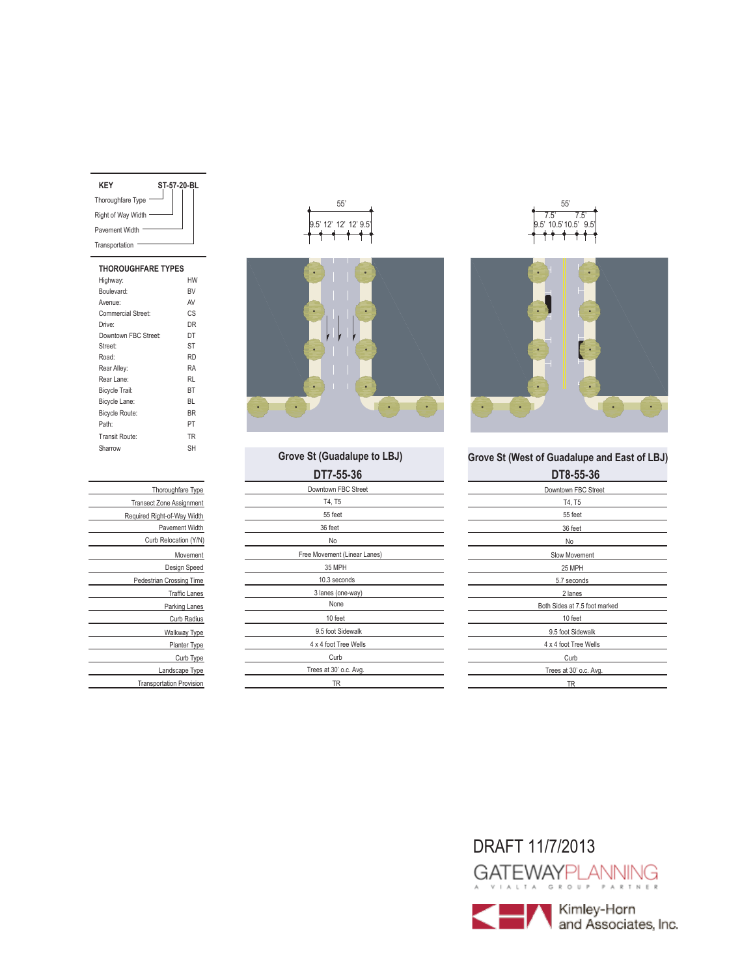| KFY                | ST-57-20-BL |
|--------------------|-------------|
| Thoroughfare Type  |             |
| Right of Way Width |             |
| Pavement Width     |             |
| Transportation     |             |
|                    |             |

| <b>THOROUGHFARE TYPES</b> |           |
|---------------------------|-----------|
| Highway:                  | HW        |
| Boulevard:                | <b>BV</b> |
| Avenue:                   | AV        |
| Commercial Street:        | CS        |
| Drive:                    | DR        |
| Downtown FBC Street:      | DT        |
| Street:                   | ST        |
| Road:                     | <b>RD</b> |
| Rear Alley:               | RA        |
| Rear Lane:                | RI        |
| <b>Bicycle Trail:</b>     | BT        |
| Bicycle Lane:             | RI.       |
| <b>Bicycle Route:</b>     | <b>BR</b> |
| Path <sup>-</sup>         | PT        |
| Transit Route:            | <b>TR</b> |
| Sharrow                   | SН        |
|                           |           |

| Thoroughfare Type               |
|---------------------------------|
| <b>Transect Zone Assignment</b> |
| Required Right-of-Way Width     |
| Pavement Width                  |
| Curb Relocation (Y/N)           |
| Movement                        |
| Design Speed                    |
| Pedestrian Crossing Time        |
| <b>Traffic Lanes</b>            |
| Parking Lanes                   |
| Curb Radius                     |
| Walkway Type                    |
| Planter Type                    |
| Curb Type                       |
| Landscape Type                  |
| <b>Transportation Provision</b> |





| DT7-55-36                    | DT8-55-36                |
|------------------------------|--------------------------|
| Downtown FBC Street          | Downtown FBC Stre        |
| T4, T5                       | T4, T5                   |
| 55 feet                      | 55 feet                  |
| 36 feet                      | 36 feet                  |
| No                           | No                       |
| Free Movement (Linear Lanes) | Slow Movement            |
| 35 MPH                       | 25 MPH                   |
| 10.3 seconds                 | 5.7 seconds              |
| 3 lanes (one-way)            | 2 lanes                  |
| None                         | Both Sides at 7.5 foot r |
| 10 feet                      | 10 feet                  |
| 9.5 foot Sidewalk            | 9.5 foot Sidewalk        |
| 4 x 4 foot Tree Wells        | 4 x 4 foot Tree Wells    |
| Curb                         | Curb                     |
| Trees at 30' o.c. Avg.       | Trees at 30' o.c. Avg    |
| TR                           | ΤR                       |
|                              |                          |





# **Grove St (West of Guadalupe and East of LBJ)**

| D I 0-33-90                   |
|-------------------------------|
| Downtown FBC Street           |
| T4, T5                        |
| 55 feet                       |
| 36 feet                       |
| No                            |
| Slow Movement                 |
| 25 MPH                        |
| 5.7 seconds                   |
| 2 lanes                       |
| Both Sides at 7.5 foot marked |
| 10 feet                       |
| 9.5 foot Sidewalk             |
| 4 x 4 foot Tree Wells         |
| Curb                          |
| Trees at 30' o.c. Avg.        |
| TR                            |

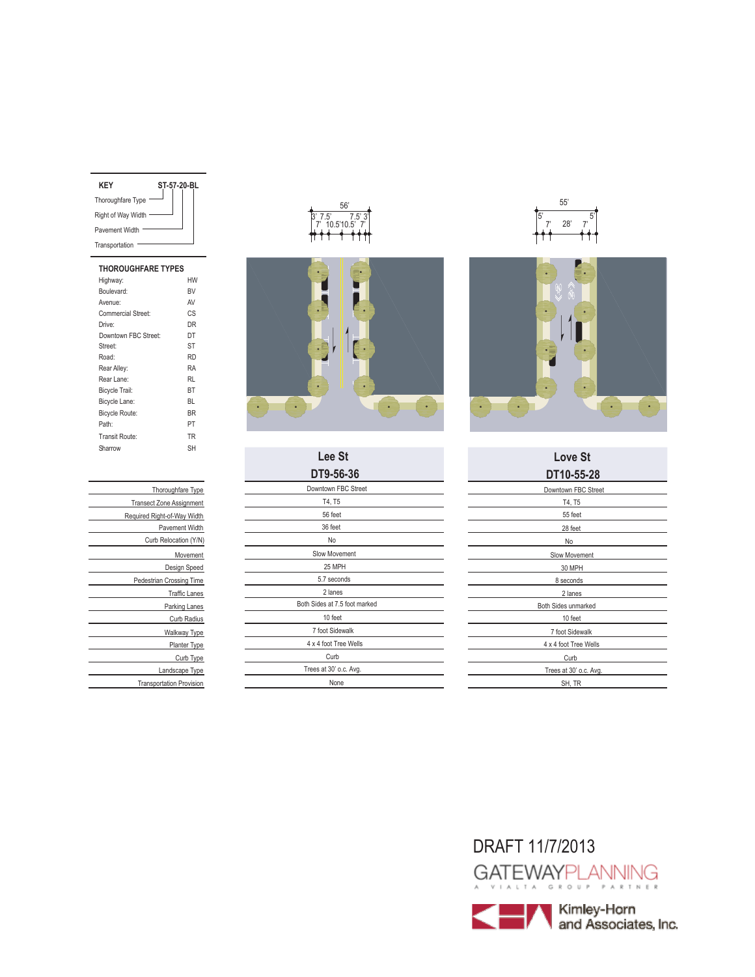| KEY                | ST-57-20-BL |
|--------------------|-------------|
| Thoroughfare Type  |             |
| Right of Way Width |             |
| Pavement Width     |             |
| Transportation     |             |

| <b>THOROUGHFARE TYPES</b> |           |
|---------------------------|-----------|
| Highway:                  | HW        |
| Boulevard:                | <b>BV</b> |
| Avenue:                   | AV        |
| Commercial Street:        | CS        |
| Drive:                    | DR        |
| Downtown FBC Street:      | DT        |
| Street:                   | ST        |
| Road:                     | <b>RD</b> |
| Rear Alley:               | RA        |
| Rear Lane:                | RI        |
| Bicycle Trail:            | BT        |
| Bicycle Lane:             | RI.       |
| <b>Bicycle Route:</b>     | <b>RR</b> |
| Path <sup>-</sup>         | PT        |
| Transit Route:            | <b>TR</b> |
| Sharrow                   | SН        |
|                           |           |





**Lee St Love St**

| DT9-56-36                     |
|-------------------------------|
| Downtown FBC Street           |
| T4, T5                        |
| 56 feet                       |
| 36 feet                       |
| No                            |
| Slow Movement                 |
| 25 MPH                        |
| 5.7 seconds                   |
| 2 lanes                       |
| Both Sides at 7.5 foot marked |
| 10 feet                       |
| 7 foot Sidewalk               |
| 4 x 4 foot Tree Wells         |
| Curb                          |
| Trees at 30' o.c. Avg.        |
| None                          |





| Lee St                   | <b>Love St</b>         |
|--------------------------|------------------------|
| DT9-56-36                | DT10-55-28             |
| owntown FBC Street       | Downtown FBC Street    |
| T4, T5                   | T4, T5                 |
| 56 feet                  | 55 feet                |
| 36 feet                  | 28 feet                |
| No                       | No                     |
| Slow Movement            | Slow Movement          |
| 25 MPH                   | 30 MPH                 |
| 5.7 seconds              | 8 seconds              |
| 2 lanes                  | 2 lanes                |
| Sides at 7.5 foot marked | Both Sides unmarked    |
| 10 feet                  | 10 feet                |
| 7 foot Sidewalk          | 7 foot Sidewalk        |
| x 4 foot Tree Wells      | 4 x 4 foot Tree Wells  |
| Curb                     | Curb                   |
| ees at 30' o.c. Avg.     | Trees at 30' o.c. Avg. |
| None                     | SH, TR                 |
|                          |                        |

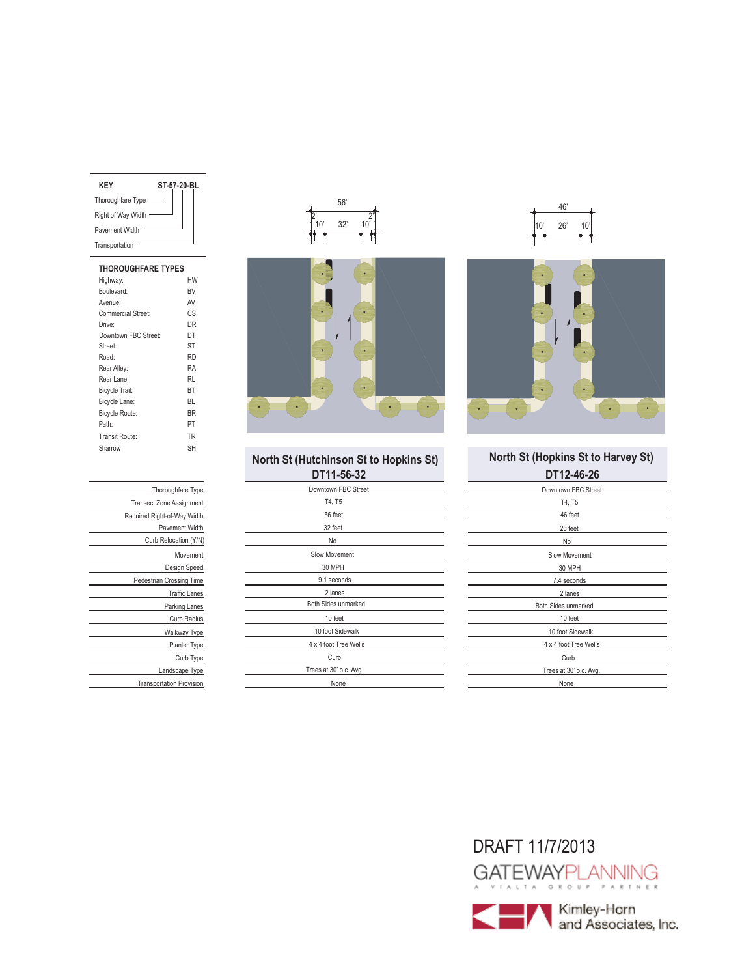| KFY                | ST-57-20-BL |
|--------------------|-------------|
| Thoroughfare Type  |             |
| Right of Way Width |             |
| Pavement Width     |             |
| Transportation     |             |
|                    |             |

| <b>THOROUGHFARE TYPES</b> |           |
|---------------------------|-----------|
| Highway:                  | HW        |
| Boulevard:                | <b>BV</b> |
| Avenue:                   | AV        |
| Commercial Street:        | CS        |
| Drive:                    | DR        |
| Downtown FBC Street:      | DT        |
| Street:                   | ST        |
| Road:                     | <b>RD</b> |
| Rear Alley:               | RA        |
| Rear Lane:                | RI        |
| Bicycle Trail:            | BT        |
| Bicycle Lane:             | RI.       |
| Bicycle Route:            | <b>BR</b> |
| Path <sup>-</sup>         | PT        |
| Transit Route:            | <b>TR</b> |
| Sharrow                   | SН        |
|                           |           |

| Thoroughfare Type               |
|---------------------------------|
| <b>Transect Zone Assignment</b> |
| Required Right-of-Way Width     |
| Pavement Width                  |
| Curb Relocation (Y/N)           |
| Movement                        |
| Design Speed                    |
| Pedestrian Crossing Time        |
| <b>Traffic Lanes</b>            |
| Parking Lanes                   |
| Curb Radius                     |
| Walkway Type                    |
| Planter Type                    |
| Curb Type                       |
| Landscape Type                  |
| <b>Transportation Provision</b> |





| <b>North St (Hutchinson St to Hopkins St</b> |  |
|----------------------------------------------|--|
| DT11_56_22                                   |  |

| סט-טע-דו ש <i></i>     |
|------------------------|
| Downtown FBC Street    |
| T4, T5                 |
| 56 feet                |
| 32 feet                |
| No                     |
| Slow Movement          |
| 30 MPH                 |
| 9.1 seconds            |
| 2 lanes                |
| Both Sides unmarked    |
| 10 feet                |
| 10 foot Sidewalk       |
| 4 x 4 foot Tree Wells  |
| Curb                   |
| Trees at 30' o.c. Avg. |
| None                   |





## **DT11-56-32 DT12-46-26 North St (Hopkins St to Harvey St)**

| <b>DIIL-TULL</b>       |
|------------------------|
| Downtown FBC Street    |
| T4, T5                 |
| 46 feet                |
| 26 feet                |
| No                     |
| Slow Movement          |
| 30 MPH                 |
| 7.4 seconds            |
| 2 lanes                |
| Both Sides unmarked    |
| 10 feet                |
| 10 foot Sidewalk       |
| 4 x 4 foot Tree Wells  |
| Curb                   |
| Trees at 30' o.c. Avg. |
| None                   |
|                        |

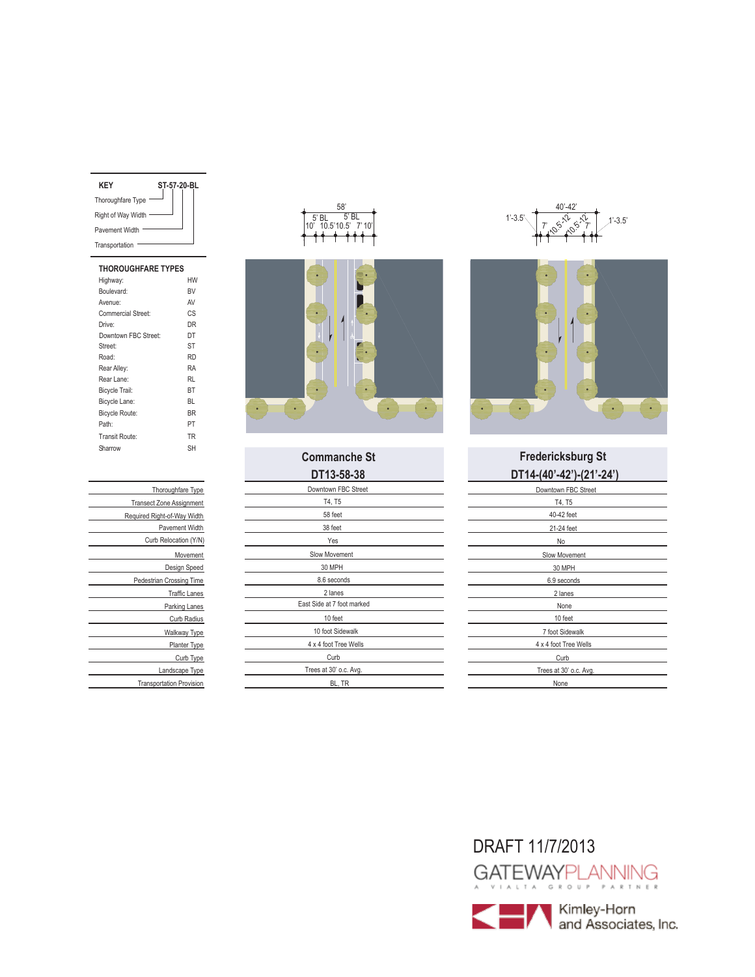| KFY                | ST-57-20-BL |
|--------------------|-------------|
| Thoroughfare Type  |             |
| Right of Way Width |             |
| Pavement Width     |             |
| Transportation     |             |
|                    |             |

| <b>THOROUGHFARE TYPES</b> |           |
|---------------------------|-----------|
| Highway:                  | HW        |
| Boulevard:                | <b>RV</b> |
| Avenue:                   | AV        |
| Commercial Street:        | CS        |
| Drive:                    | DR        |
| Downtown FBC Street:      | DT        |
| Street:                   | <b>ST</b> |
| Road:                     | <b>RD</b> |
| Rear Alley:               | RA        |
| Rear Lane:                | RI        |
| Bicycle Trail:            | BT        |
| Bicycle Lane:             | BL        |
| <b>Bicycle Route:</b>     | <b>BR</b> |
| Path:                     | PT        |
| Transit Route:            | TR        |
| Sharrow                   | SН        |
|                           |           |





| DT13-58-38                 |
|----------------------------|
| Downtown FBC Street        |
| T4, T5                     |
| 58 feet                    |
| 38 feet                    |
| Yes                        |
| Slow Movement              |
| 30 MPH                     |
| 8.6 seconds                |
| 2 lanes                    |
| East Side at 7 foot marked |
| 10 feet                    |
| 10 foot Sidewalk           |
| 4 x 4 foot Tree Wells      |
| Curb                       |
| Trees at 30' o.c. Avg.     |
| BL, TR                     |





# **DT13-58-38 DT14-(40'-42')-(21'-24') Commanche St Fredericksburg St**

| Downtown FBC Street    |
|------------------------|
| T4, T5                 |
| 40-42 feet             |
| 21-24 feet             |
| No                     |
| Slow Movement          |
| 30 MPH                 |
| 6.9 seconds            |
| 2 lanes                |
| None                   |
| 10 feet                |
| 7 foot Sidewalk        |
| 4 x 4 foot Tree Wells  |
| Curb                   |
| Trees at 30' o.c. Avg. |
| None                   |
|                        |

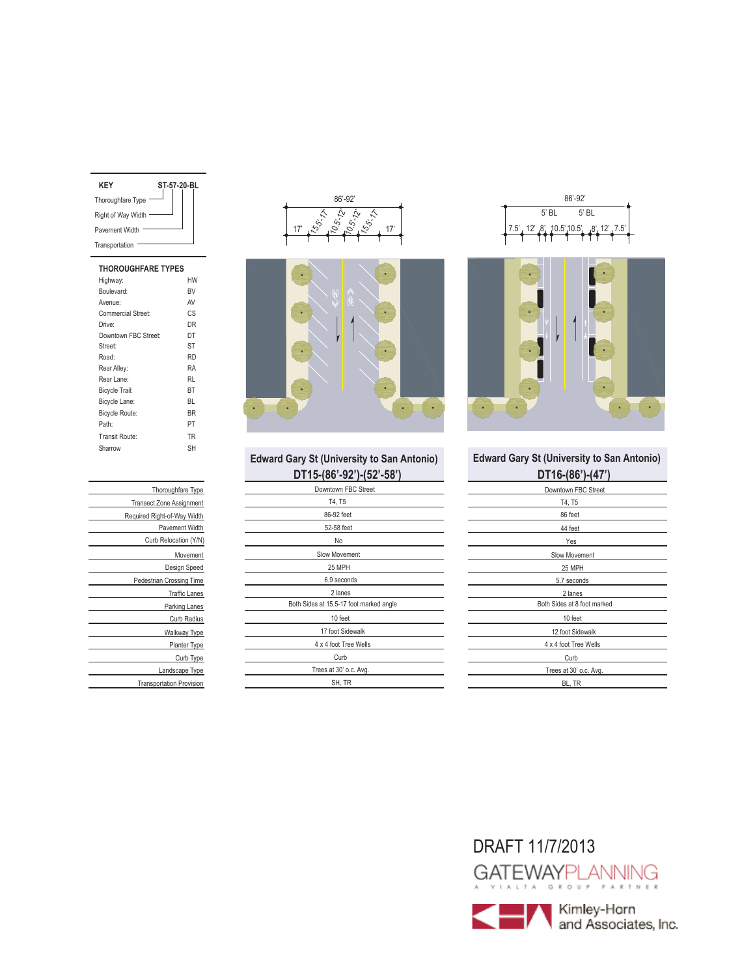| KFY                   | ST-57-20-BL |  |
|-----------------------|-------------|--|
| Thoroughfare Type     |             |  |
| Right of Way Width    |             |  |
| <b>Pavement Width</b> |             |  |
| Transportation        |             |  |
|                       |             |  |

### **THOROUGHFARE TYPES** Highway: HW Boulevard: BV Avenue: AV<br>Commercial Street: CS Commercial Street: Drive: DR Street: ST Downtown FBC Street: DT Road: RD Rear Alley: RA<br>Rear Lane: RL Rear Lane: Bicycle Trail: BT Bicycle Lane: BL Bicycle Route: BR Path: PT Transit Route: TR Sharrow SH

| Thoroughfare Type               |
|---------------------------------|
| <b>Transect Zone Assignment</b> |
|                                 |
| Required Right-of-Way Width     |
| <b>Pavement Width</b>           |
| Curb Relocation (Y/N)           |
| Movement                        |
| Design Speed                    |
| <b>Pedestrian Crossing Time</b> |
| <b>Traffic Lanes</b>            |
| Parking Lanes                   |
| Curb Radius                     |
| Walkway Type                    |
| Planter Type                    |
| Curb Type                       |
| Landscape Type                  |
| <b>Transportation Provision</b> |





# **DT15-(86'-92')-(52'-58') DT16-(86')-(47')**

| ן טט־ אטן־ן אט־טטן־טו ו ש               | ן וד <sub>ו</sub> ־ן טטן־טו ו ש |
|-----------------------------------------|---------------------------------|
| Downtown FBC Street                     | Downtown FBC Street             |
| T4, T5                                  | T4, T5                          |
| 86-92 feet                              | 86 feet                         |
| 52-58 feet                              | 44 feet                         |
| No                                      | Yes                             |
| Slow Movement                           | Slow Movement                   |
| 25 MPH                                  | 25 MPH                          |
| 6.9 seconds                             | 5.7 seconds                     |
| 2 lanes                                 | 2 lanes                         |
| Both Sides at 15.5-17 foot marked angle | Both Sides at 8 foot marked     |
| 10 feet                                 | 10 feet                         |
| 17 foot Sidewalk                        | 12 foot Sidewalk                |
| 4 x 4 foot Tree Wells                   | 4 x 4 foot Tree Wells           |
| Curb                                    | Curb                            |
| Trees at 30' o.c. Avg.                  | Trees at 30' o.c. Avg.          |
| SH, TR                                  | BL, TR                          |
|                                         |                                 |





# **Edward Gary St (University to San Antonio) Edward Gary St (University to San Antonio)**

| <b>UTTO-100 J-147</b>       |  |
|-----------------------------|--|
| Downtown FBC Street         |  |
| T4, T5                      |  |
| 86 feet                     |  |
| 44 feet                     |  |
| Yes                         |  |
| Slow Movement               |  |
| 25 MPH                      |  |
| 5.7 seconds                 |  |
| 2 lanes                     |  |
| Both Sides at 8 foot marked |  |
| 10 feet                     |  |
| 12 foot Sidewalk            |  |
| 4 x 4 foot Tree Wells       |  |
| Curb                        |  |
| Trees at 30' o.c. Avg.      |  |
| BL, TR                      |  |
|                             |  |

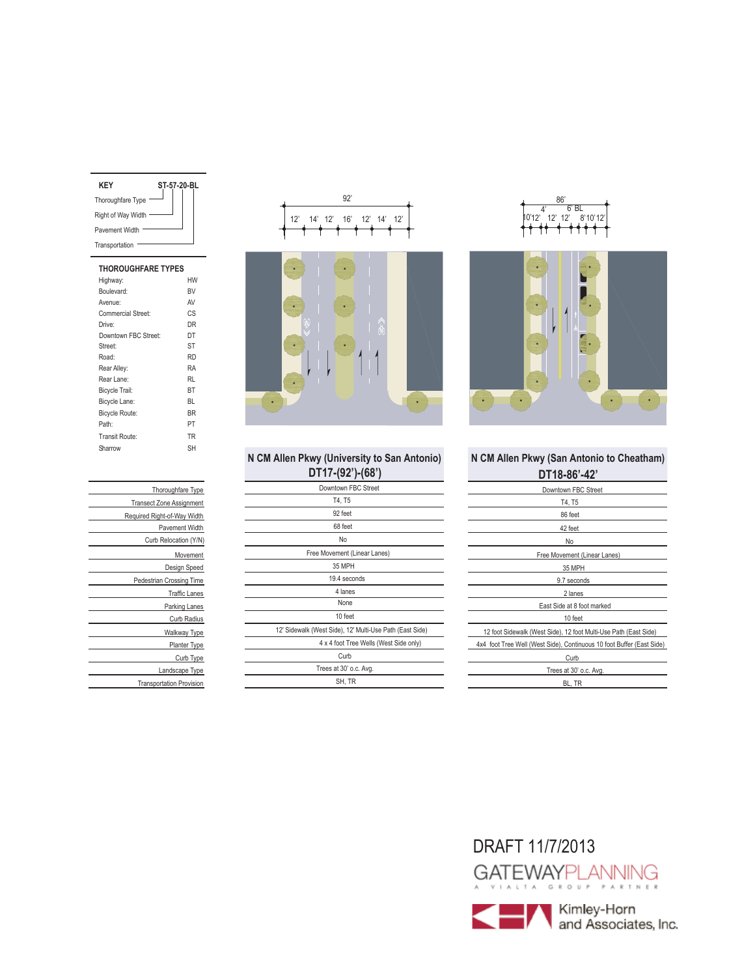| KFY                | ST-57-20-BL |
|--------------------|-------------|
| Thoroughfare Type  |             |
| Right of Way Width |             |
| Pavement Width     |             |
| Transportation     |             |
|                    |             |

# **THOROUGHFARE TYPES**

| Highway:              | HW        |
|-----------------------|-----------|
| Boulevard:            | <b>BV</b> |
| Avenue:               | AV        |
| Commercial Street:    | СS        |
| Drive:                | DR        |
| Downtown FBC Street:  | DT        |
| Street:               | ST        |
| Road:                 | <b>RD</b> |
| Rear Alley:           | RA        |
| Rear Lane:            | RL        |
| Bicycle Trail:        | BT        |
| Bicycle Lane:         | BL        |
| <b>Bicycle Route:</b> | <b>BR</b> |
| Path:                 | PT        |
| Transit Route:        | <b>TR</b> |
| Sharrow               | SH        |
|                       |           |

| Thoroughfare Type               |
|---------------------------------|
| <b>Transect Zone Assignment</b> |
| Required Right-of-Way Width     |
| Pavement Width                  |
| Curb Relocation (Y/N)           |
| Movement                        |
| Design Speed                    |
| <b>Pedestrian Crossing Time</b> |
| <b>Traffic Lanes</b>            |
| Parking Lanes                   |
| Curb Radius                     |
| Walkway Type                    |
| Planter Type                    |
| Curb Type                       |
| Landscape Type                  |
| <b>Transportation Provision</b> |



# **N CM Allen Pkwy (University to San Antonio) N CM Allen Pkwy (San Antonio to Cheatham)**

| DT17-(92')-(68')                                         |  |
|----------------------------------------------------------|--|
| Downtown FBC Street                                      |  |
| T4, T5                                                   |  |
| 92 feet                                                  |  |
| 68 feet                                                  |  |
| No                                                       |  |
| Free Movement (Linear Lanes)                             |  |
| 35 MPH                                                   |  |
| 19.4 seconds                                             |  |
| 4 lanes                                                  |  |
| None                                                     |  |
| 10 feet                                                  |  |
| 12' Sidewalk (West Side), 12' Multi-Use Path (East Side) |  |
| 4 x 4 foot Tree Wells (West Side only)                   |  |
| Curb                                                     |  |
| Trees at 30' o.c. Avg.                                   |  |
| SH, TR                                                   |  |





| DT18-86'-42'                                                          |  |
|-----------------------------------------------------------------------|--|
| Downtown FBC Street                                                   |  |
| T4, T5                                                                |  |
| 86 feet                                                               |  |
| 42 feet                                                               |  |
| No                                                                    |  |
| Free Movement (Linear Lanes)                                          |  |
| 35 MPH                                                                |  |
| 9.7 seconds                                                           |  |
| 2 lanes                                                               |  |
| East Side at 8 foot marked                                            |  |
| 10 feet                                                               |  |
| 12 foot Sidewalk (West Side), 12 foot Multi-Use Path (East Side)      |  |
| 4x4 foot Tree Well (West Side), Continuous 10 foot Buffer (East Side) |  |
| Curb                                                                  |  |
| Trees at 30' o.c. Avg.                                                |  |
| BL, TR                                                                |  |

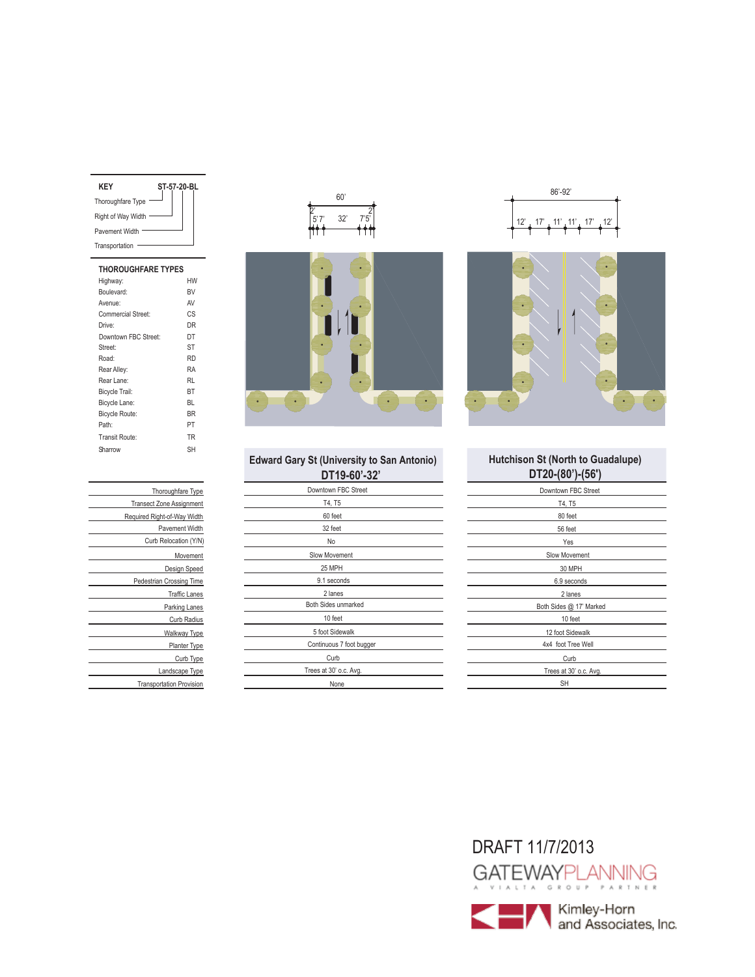| KFY                | ST-57-20-BL |
|--------------------|-------------|
| Thoroughfare Type  |             |
| Right of Way Width |             |
| Pavement Width     |             |
| Transportation     |             |

| <b>THOROUGHFARE TYPES</b> |           |
|---------------------------|-----------|
| Highway:                  | HW        |
| Boulevard:                | <b>BV</b> |
| Avenue:                   | AV        |
| Commercial Street:        | СS        |
| Drive:                    | DR        |
| Downtown FBC Street:      | DT        |
| Street:                   | <b>ST</b> |
| Road:                     | <b>RD</b> |
| Rear Alley:               | RA        |
| Rear Lane:                | RI        |
| <b>Bicycle Trail:</b>     | BT        |
| Bicycle Lane:             | BL        |
| <b>Bicycle Route:</b>     | <b>BR</b> |
| Path:                     | PT        |
| Transit Route:            | <b>TR</b> |
| Sharrow                   | SН        |
|                           |           |

| Thoroughfare Type               |
|---------------------------------|
| <b>Transect Zone Assignment</b> |
| Required Right-of-Way Width     |
| <b>Pavement Width</b>           |
| Curb Relocation (Y/N)           |
| Movement                        |
| Design Speed                    |
| Pedestrian Crossing Time        |
| <b>Traffic Lanes</b>            |
| Parking Lanes                   |
| Curb Radius                     |
| Walkway Type                    |
| Planter Type                    |
| Curb Type                       |
| Landscape Type                  |
| <b>Transportation Provision</b> |





|  | <b>Edward Gary St (University to San Antonio)</b> |  |
|--|---------------------------------------------------|--|
|  | $\Gamma$ 10.60'-32'                               |  |

| DT19-60'-32'             | DT20-(80')-(5      |
|--------------------------|--------------------|
| Downtown FBC Street      | Downtown FBC St    |
| T4, T5                   | T4, T5             |
| 60 feet                  | 80 feet            |
| 32 feet                  | 56 feet            |
| No                       | Yes                |
| Slow Movement            | Slow Movement      |
| 25 MPH                   | 30 MPH             |
| 9.1 seconds              | 6.9 seconds        |
| 2 lanes                  | 2 lanes            |
| Both Sides unmarked      | Both Sides @ 17' M |
| 10 feet                  | 10 feet            |
| 5 foot Sidewalk          | 12 foot Sidewalk   |
| Continuous 7 foot bugger | 4x4 foot Tree We   |
| Curb                     | Curb               |
| Trees at 30' o.c. Avg.   | Trees at 30' o.c.  |
| None                     | <b>SH</b>          |
|                          |                    |





### **DT20-(80')-(56') Hutchison St (North to Guadalupe)**